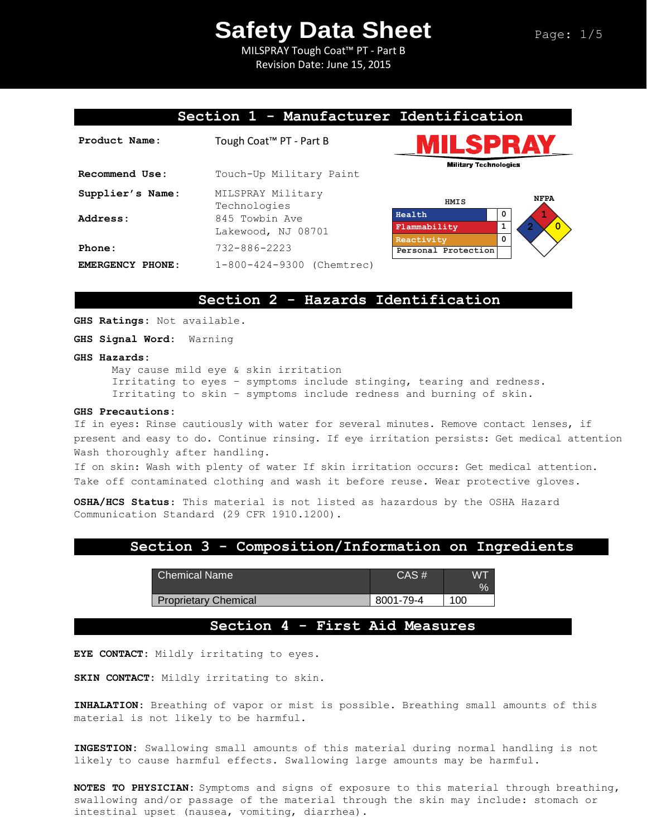MILSPRAY Tough Coat™ PT - Part B Revision Date: June 15, 2015

### **Section 1 - Manufacturer Identification**

| Product Name:    | Tough Coat <sup>™</sup> PT - Part B  |                    |
|------------------|--------------------------------------|--------------------|
| Recommend Use:   | Touch-Up Military Paint              |                    |
| Supplier's Name: | MILSPRAY Military<br>Technologies    |                    |
| Address:         | 845 Towbin Ave<br>Lakewood, NJ 08701 | Health<br>Flammab  |
| Phone:           | $732 - 886 - 2223$                   | Reactiv<br>Persona |
| EMERGENCY PHONE: | 1-800-424-9300 (Chemtrec)            |                    |





## **Section 2 - Hazards Identification**

**GHS Ratings:** Not available.

**GHS Signal Word:** Warning

#### **GHS Hazards:**

May cause mild eye & skin irritation Irritating to eyes – symptoms include stinging, tearing and redness. Irritating to skin – symptoms include redness and burning of skin.

#### **GHS Precautions:**

If in eyes: Rinse cautiously with water for several minutes. Remove contact lenses, if present and easy to do. Continue rinsing. If eye irritation persists: Get medical attention Wash thoroughly after handling.

If on skin: Wash with plenty of water If skin irritation occurs: Get medical attention. Take off contaminated clothing and wash it before reuse. Wear protective gloves.

**OSHA/HCS Status**: This material is not listed as hazardous by the OSHA Hazard Communication Standard (29 CFR 1910.1200).

### **Section 3 - Composition/Information on Ingredients**

| Chemical Name               | $CAS \#$  | W7<br>$\%$ |
|-----------------------------|-----------|------------|
| <b>Proprietary Chemical</b> | 8001-79-4 | 100        |

### **Section 4 - First Aid Measures**

**EYE CONTACT:** Mildly irritating to eyes.

**SKIN CONTACT:** Mildly irritating to skin.

**INHALATION:** Breathing of vapor or mist is possible. Breathing small amounts of this material is not likely to be harmful.

**INGESTION:** Swallowing small amounts of this material during normal handling is not likely to cause harmful effects. Swallowing large amounts may be harmful.

**NOTES TO PHYSICIAN:** Symptoms and signs of exposure to this material through breathing, swallowing and/or passage of the material through the skin may include: stomach or intestinal upset (nausea, vomiting, diarrhea).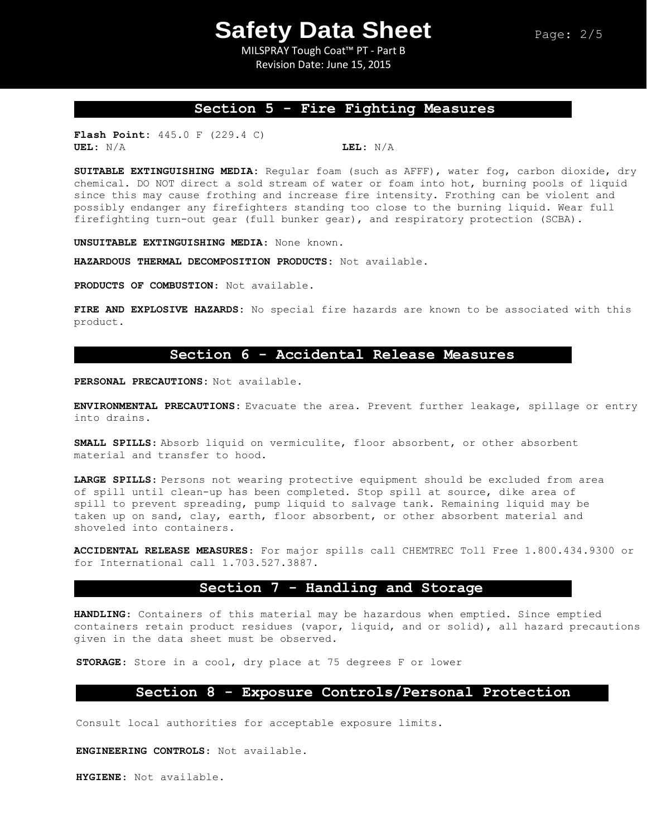MILSPRAY Tough Coat™ PT - Part B Revision Date: June 15, 2015

## **Section 5 - Fire Fighting Measures**

**Flash Point:** 445.0 F (229.4 C) **UEL:** N/A **LEL:** N/A

**SUITABLE EXTINGUISHING MEDIA:** Regular foam (such as AFFF), water fog, carbon dioxide, dry chemical. DO NOT direct a sold stream of water or foam into hot, burning pools of liquid since this may cause frothing and increase fire intensity. Frothing can be violent and possibly endanger any firefighters standing too close to the burning liquid. Wear full firefighting turn-out gear (full bunker gear), and respiratory protection (SCBA).

**UNSUITABLE EXTINGUISHING MEDIA**: None known.

**HAZARDOUS THERMAL DECOMPOSITION PRODUCTS:** Not available.

**PRODUCTS OF COMBUSTION**: Not available.

**FIRE AND EXPLOSIVE HAZARDS:** No special fire hazards are known to be associated with this product.

### **Section 6 - Accidental Release Measures**

**PERSONAL PRECAUTIONS:** Not available.

**ENVIRONMENTAL PRECAUTIONS:** Evacuate the area. Prevent further leakage, spillage or entry into drains.

**SMALL SPILLS**: Absorb liquid on vermiculite, floor absorbent, or other absorbent material and transfer to hood.

**LARGE SPILLS**: Persons not wearing protective equipment should be excluded from area of spill until clean-up has been completed. Stop spill at source, dike area of spill to prevent spreading, pump liquid to salvage tank. Remaining liquid may be taken up on sand, clay, earth, floor absorbent, or other absorbent material and shoveled into containers.

**ACCIDENTAL RELEASE MEASURES**: For major spills call CHEMTREC Toll Free 1.800.434.9300 or for International call 1.703.527.3887.

## **Section 7 - Handling and Storage**

**HANDLING**: Containers of this material may be hazardous when emptied. Since emptied containers retain product residues (vapor, liquid, and or solid), all hazard precautions given in the data sheet must be observed.

**STORAGE**: Store in a cool, dry place at 75 degrees F or lower

### **Section 8 - Exposure Controls/Personal Protection**

Consult local authorities for acceptable exposure limits.

**ENGINEERING CONTROLS**: Not available.

**HYGIENE**: Not available.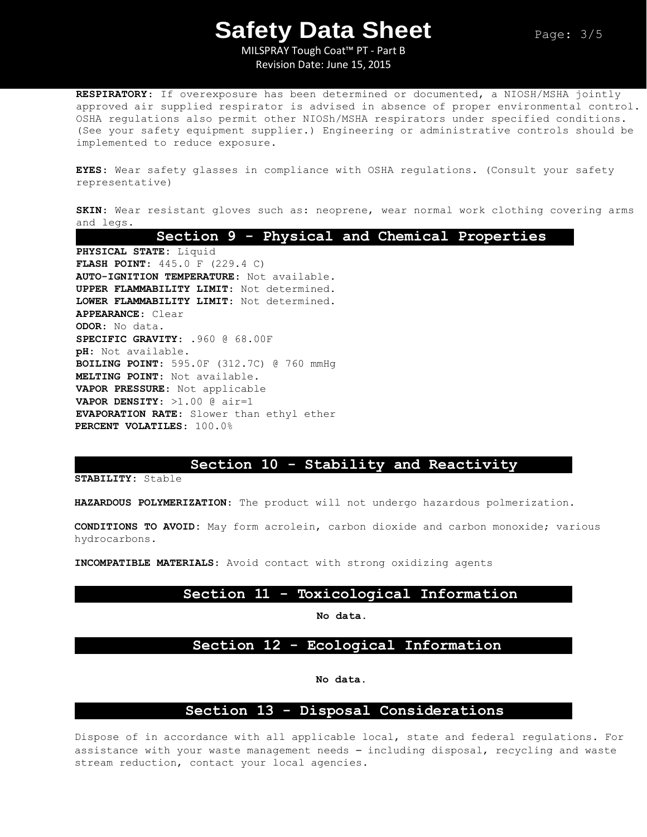MILSPRAY Tough Coat™ PT - Part B Revision Date: June 15, 2015

**RESPIRATORY**: If overexposure has been determined or documented, a NIOSH/MSHA jointly approved air supplied respirator is advised in absence of proper environmental control. OSHA regulations also permit other NIOSh/MSHA respirators under specified conditions. (See your safety equipment supplier.) Engineering or administrative controls should be implemented to reduce exposure.

**EYES**: Wear safety glasses in compliance with OSHA regulations. (Consult your safety representative)

**SKIN**: Wear resistant gloves such as: neoprene, wear normal work clothing covering arms and legs.

**Section 9 - Physical and Chemical Properties PHYSICAL STATE:** Liquid **FLASH POINT**: 445.0 F (229.4 C) **AUTO-IGNITION TEMPERATURE**: Not available. **UPPER FLAMMABILITY LIMIT**: Not determined. **LOWER FLAMMABILITY LIMIT**: Not determined. **APPEARANCE**: Clear **ODOR**: No data. **SPECIFIC GRAVITY**: .960 @ 68.00F **pH**: Not available. **BOILING POINT**: 595.0F (312.7C) @ 760 mmHg **MELTING POINT**: Not available. **VAPOR PRESSURE**: Not applicable **VAPOR DENSITY**: >1.00 @ air=1 **EVAPORATION RATE**: Slower than ethyl ether **PERCENT VOLATILES**: 100.0%

## **Section 10 - Stability and Reactivity**

**STABILITY:** Stable

**HAZARDOUS POLYMERIZATION**: The product will not undergo hazardous polmerization.

**CONDITIONS TO AVOID:** May form acrolein, carbon dioxide and carbon monoxide; various hydrocarbons.

**INCOMPATIBLE MATERIALS**: Avoid contact with strong oxidizing agents

### **Section 11 - Toxicological Information**

**No data.**

## **Section 12 - Ecological Information**

**No data.**

## **Section 13 - Disposal Considerations**

Dispose of in accordance with all applicable local, state and federal regulations. For assistance with your waste management needs – including disposal, recycling and waste stream reduction, contact your local agencies.